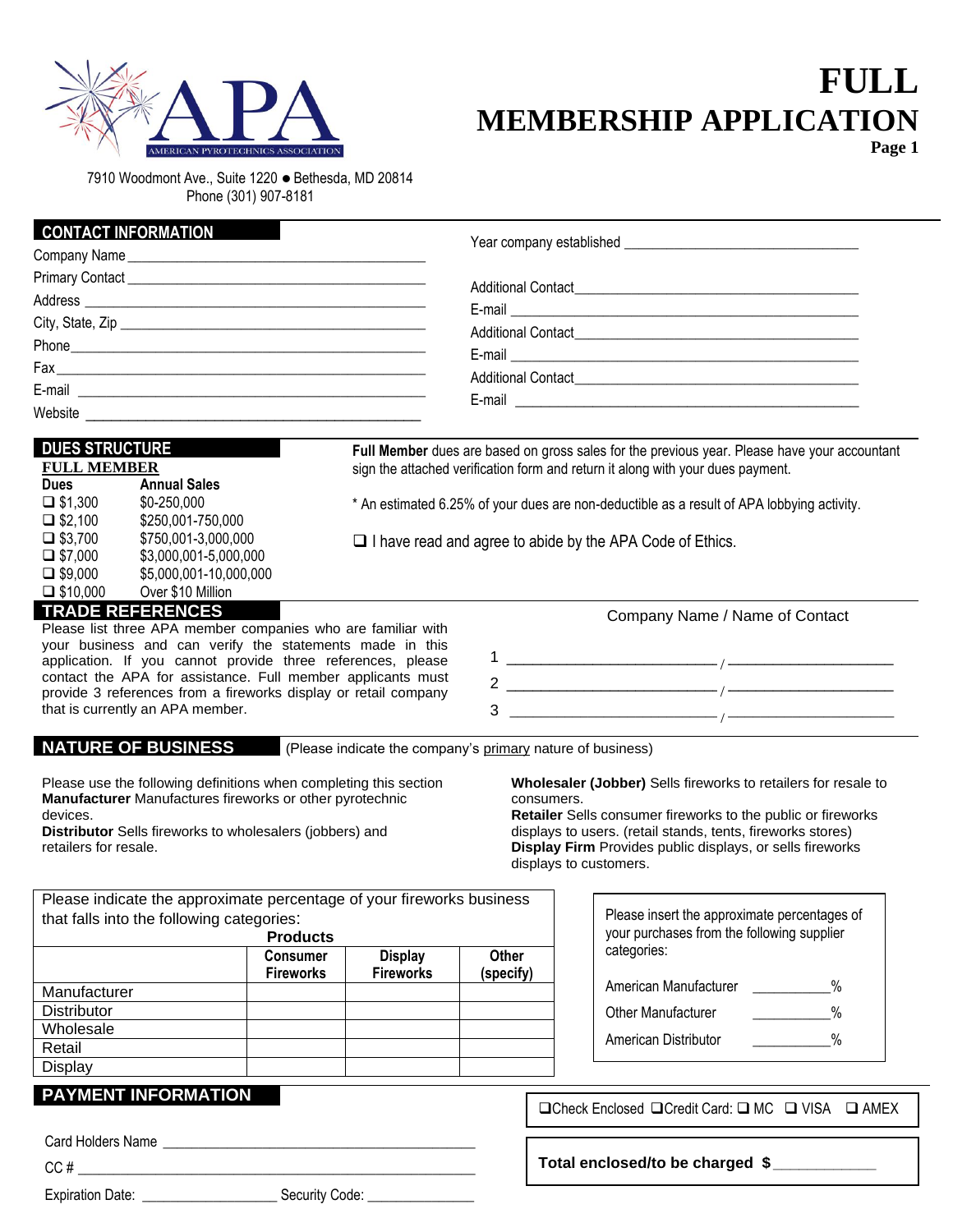

**CONTACT INFORMATION**

# **FULL MEMBERSHIP APPLICATION Page 1**

7910 Woodmont Ave., Suite 1220 ⚫ Bethesda, MD 20814 Phone (301) 907-8181

| I CONTACT INFORMATION                                                                                                                                                                                                                                                                                                                                                                    |                                                                                |  |                                                                                                                                                                                                                                                                                                                                                   |  |  |
|------------------------------------------------------------------------------------------------------------------------------------------------------------------------------------------------------------------------------------------------------------------------------------------------------------------------------------------------------------------------------------------|--------------------------------------------------------------------------------|--|---------------------------------------------------------------------------------------------------------------------------------------------------------------------------------------------------------------------------------------------------------------------------------------------------------------------------------------------------|--|--|
|                                                                                                                                                                                                                                                                                                                                                                                          |                                                                                |  |                                                                                                                                                                                                                                                                                                                                                   |  |  |
|                                                                                                                                                                                                                                                                                                                                                                                          |                                                                                |  |                                                                                                                                                                                                                                                                                                                                                   |  |  |
|                                                                                                                                                                                                                                                                                                                                                                                          |                                                                                |  |                                                                                                                                                                                                                                                                                                                                                   |  |  |
|                                                                                                                                                                                                                                                                                                                                                                                          |                                                                                |  |                                                                                                                                                                                                                                                                                                                                                   |  |  |
|                                                                                                                                                                                                                                                                                                                                                                                          |                                                                                |  |                                                                                                                                                                                                                                                                                                                                                   |  |  |
|                                                                                                                                                                                                                                                                                                                                                                                          |                                                                                |  |                                                                                                                                                                                                                                                                                                                                                   |  |  |
|                                                                                                                                                                                                                                                                                                                                                                                          |                                                                                |  |                                                                                                                                                                                                                                                                                                                                                   |  |  |
| <b>DUES STRUCTURE</b><br><b>FULL MEMBER</b><br><b>Dues</b><br>$\Box$ \$1,300<br>$\Box$ \$2,100<br>$\Box$ \$3,700                                                                                                                                                                                                                                                                         | <b>Annual Sales</b><br>\$0-250,000<br>\$250,001-750,000<br>\$750,001-3,000,000 |  | Full Member dues are based on gross sales for the previous year. Please have your accountant<br>sign the attached verification form and return it along with your dues payment.<br>* An estimated 6.25% of your dues are non-deductible as a result of APA lobbying activity.<br>$\Box$ I have read and agree to abide by the APA Code of Ethics. |  |  |
| $\Box$ \$7,000<br>$\Box$ \$9,000<br>$\Box$ \$10,000                                                                                                                                                                                                                                                                                                                                      | \$3,000,001-5,000,000<br>\$5,000,001-10,000,000<br>Over \$10 Million           |  |                                                                                                                                                                                                                                                                                                                                                   |  |  |
| <b>TRADE REFERENCES</b><br>Please list three APA member companies who are familiar with<br>your business and can verify the statements made in this<br>application. If you cannot provide three references, please<br>contact the APA for assistance. Full member applicants must<br>provide 3 references from a fireworks display or retail company<br>that is currently an APA member. |                                                                                |  | Company Name / Name of Contact<br>3                                                                                                                                                                                                                                                                                                               |  |  |
|                                                                                                                                                                                                                                                                                                                                                                                          | <b>NATURE OF BUSINESS</b>                                                      |  | (Please indicate the company's primary nature of business)                                                                                                                                                                                                                                                                                        |  |  |
|                                                                                                                                                                                                                                                                                                                                                                                          | Please use the following definitions when completing this section              |  | Wholesaler (Jobber) Sells fireworks to retailers for resale to                                                                                                                                                                                                                                                                                    |  |  |

**Manufacturer** Manufactures fireworks or other pyrotechnic devices.

**Distributor** Sells fireworks to wholesalers (jobbers) and retailers for resale.

| consumers.                                                          |  |  |  |  |
|---------------------------------------------------------------------|--|--|--|--|
| <b>Retailer</b> Sells consumer fireworks to the public or fireworks |  |  |  |  |
| displays to users. (retail stands, tents, fireworks stores)         |  |  |  |  |
| <b>Display Firm</b> Provides public displays, or sells fireworks    |  |  |  |  |
| displays to customers.                                              |  |  |  |  |

Please insert the approximate percentages of your purchases from the following supplier

American Manufacturer  $\%$ Other Manufacturer  $\%$ American Distributor  $\%$ 

| Please indicate the approximate percentage of your fireworks business |                  |                  |              |  |  |  |
|-----------------------------------------------------------------------|------------------|------------------|--------------|--|--|--|
| that falls into the following categories:                             |                  |                  |              |  |  |  |
| <b>Products</b>                                                       |                  |                  |              |  |  |  |
|                                                                       | <b>Consumer</b>  | <b>Display</b>   | <b>Other</b> |  |  |  |
|                                                                       | <b>Fireworks</b> | <b>Fireworks</b> | (specify)    |  |  |  |
| Manufacturer                                                          |                  |                  |              |  |  |  |
| <b>Distributor</b>                                                    |                  |                  |              |  |  |  |
| Wholesale                                                             |                  |                  |              |  |  |  |
| Retail                                                                |                  |                  |              |  |  |  |
| Displav                                                               |                  |                  |              |  |  |  |
|                                                                       |                  |                  |              |  |  |  |

## **PAYMENT INFORMATION**

Card Holders Name \_\_\_\_\_\_\_\_\_\_\_\_\_\_\_\_\_\_\_\_\_\_\_\_\_\_\_\_\_\_\_\_\_\_\_\_\_\_\_\_\_\_\_\_

CC # \_\_\_\_\_\_\_\_\_\_\_\_\_\_\_\_\_\_\_\_\_\_\_\_\_\_\_\_\_\_\_\_\_\_\_\_\_\_\_\_\_\_\_\_\_\_\_\_\_\_\_\_\_\_\_\_

Expiration Date: \_\_\_\_\_\_\_\_\_\_\_\_\_\_\_\_\_\_\_ Security Code: \_\_\_\_\_\_\_\_\_\_\_\_\_\_\_

❑Check Enclosed ❑Credit Card: ❑ MC ❑ VISA ❑ AMEX

## **Total enclosed/to be charged \$ \_\_\_\_\_\_\_\_\_\_\_\_**

categories: